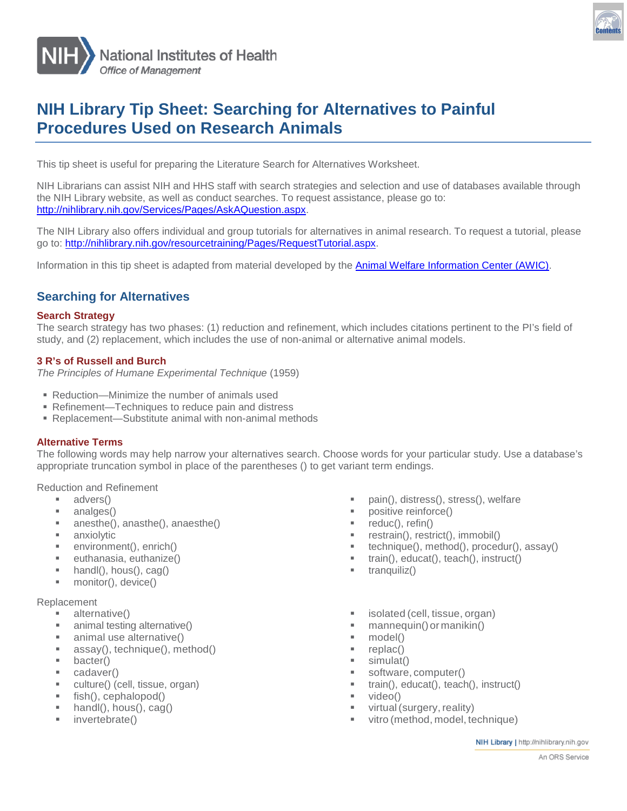

# **NIH Library Tip Sheet: Searching for Alternatives to Painful Procedures Used on Research Animals**

This tip sheet is useful for preparing the Literature Search for Alternatives Worksheet.

NIH Librarians can assist NIH and HHS staff with search strategies and selection and use of databases available through the NIH Library website, as well as conduct searches. To request assistance, please go to: [http://nihlibrary.nih.gov/Services/Pages/AskAQuestion.aspx.](http://nihlibrary.nih.gov/Services/Pages/AskAQuestion.aspx)

The NIH Library also offers individual and group tutorials for alternatives in animal research. To request a tutorial, please go to: [http://nihlibrary.nih.gov/resourcetraining/Pages/RequestTutorial.aspx.](http://nihlibrary.nih.gov/resourcetraining/Pages/RequestTutorial.aspx)

Information in this tip sheet is adapted from material developed by the **Animal Welfare Information Center (AWIC)**.

# **Searching for Alternatives**

#### **Search Strategy**

The search strategy has two phases: (1) reduction and refinement, which includes citations pertinent to the PI's field of study, and (2) replacement, which includes the use of non-animal or alternative animal models.

#### **3 R's of Russell and Burch**

*The Principles of Humane Experimental Technique* (1959)

- Reduction—Minimize the number of animals used
- Refinement—Techniques to reduce pain and distress
- Replacement—Substitute animal with non-animal methods

#### **Alternative Terms**

The following words may help narrow your alternatives search. Choose words for your particular study. Use a database's appropriate truncation symbol in place of the parentheses () to get variant term endings.

Reduction and Refinement

- advers()
- analges()
- anesthe(), anasthe(), anaesthe()
- anxiolytic
- environment(), enrich()
- euthanasia, euthanize()
- handl(), hous(), cag()
- monitor(), device()

#### Replacement

- alternative()
- animal testing alternative()
- animal use alternative()
- assay(), technique(), method()
- **bacter()**
- cadaver()
- culture() (cell, tissue, organ)
- $\blacksquare$  fish(), cephalopod()
- $\blacksquare$  handl(), hous(), cag()
- invertebrate()
- pain(), distress(), stress(), welfare
- positive reinforce()
- $reduc()$ , refin $()$
- **Fig. 3** restrain(), restrict(), immobil()
- technique(), method(), procedur(), assay()
- train(), educat(), teach(), instruct()
- $\blacksquare$  tranquiliz()
- isolated (cell, tissue, organ)
- mannequin()or manikin()
- model()
- replac()
- simulat()
- software, computer()
- train(), educat(), teach(), instruct()
- video()
- virtual (surgery, reality)
- vitro (method, model, technique)

NIH Library | http://nihlibrary.nih.gov